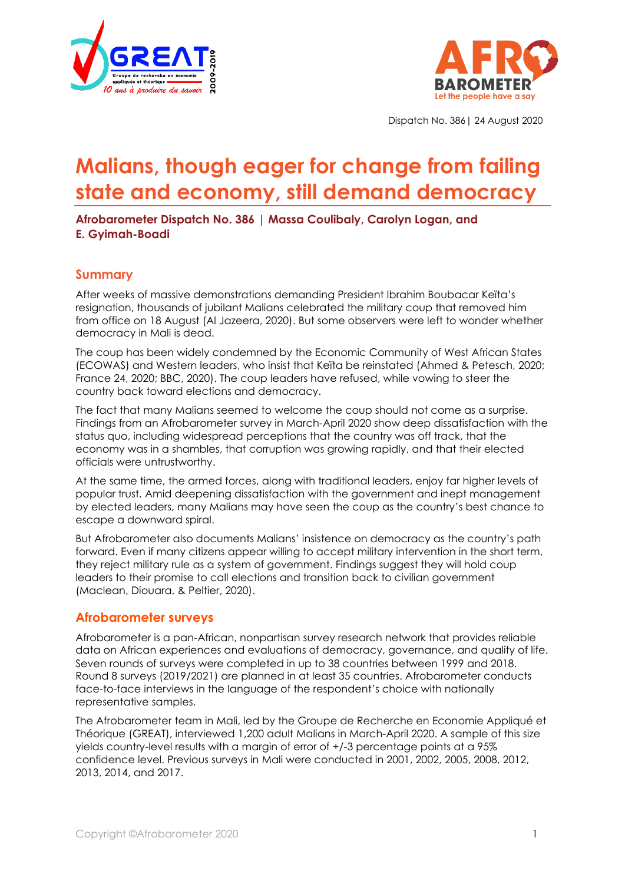



Dispatch No. 386| 24 August 2020

# **Malians, though eager for change from failing state and economy, still demand democracy**

**Afrobarometer Dispatch No. 386 | Massa Coulibaly, Carolyn Logan, and E. Gyimah-Boadi**

## **Summary**

After weeks of massive demonstrations demanding President Ibrahim Boubacar Keïta's resignation, thousands of jubilant Malians celebrated the military coup that removed him from office on 18 August (Al Jazeera, 2020). But some observers were left to wonder whether democracy in Mali is dead.

The coup has been widely condemned by the Economic Community of West African States (ECOWAS) and Western leaders, who insist that Keïta be reinstated (Ahmed & Petesch, 2020; France 24, 2020; BBC, 2020). The coup leaders have refused, while vowing to steer the country back toward elections and democracy.

The fact that many Malians seemed to welcome the coup should not come as a surprise. Findings from an Afrobarometer survey in March-April 2020 show deep dissatisfaction with the status quo, including widespread perceptions that the country was off track, that the economy was in a shambles, that corruption was growing rapidly, and that their elected officials were untrustworthy.

At the same time, the armed forces, along with traditional leaders, enjoy far higher levels of popular trust. Amid deepening dissatisfaction with the government and inept management by elected leaders, many Malians may have seen the coup as the country's best chance to escape a downward spiral.

But Afrobarometer also documents Malians' insistence on democracy as the country's path forward. Even if many citizens appear willing to accept military intervention in the short term, they reject military rule as a system of government. Findings suggest they will hold coup leaders to their promise to call elections and transition back to civilian government (Maclean, Diouara, & Peltier, 2020).

### **Afrobarometer surveys**

Afrobarometer is a pan-African, nonpartisan survey research network that provides reliable data on African experiences and evaluations of democracy, governance, and quality of life. Seven rounds of surveys were completed in up to 38 countries between 1999 and 2018. Round 8 surveys (2019/2021) are planned in at least 35 countries. Afrobarometer conducts face-to-face interviews in the language of the respondent's choice with nationally representative samples.

The Afrobarometer team in Mali, led by the Groupe de Recherche en Economie Appliqué et Théorique (GREAT), interviewed 1,200 adult Malians in March-April 2020. A sample of this size yields country-level results with a margin of error of +/-3 percentage points at a 95% confidence level. Previous surveys in Mali were conducted in 2001, 2002, 2005, 2008, 2012, 2013, 2014, and 2017.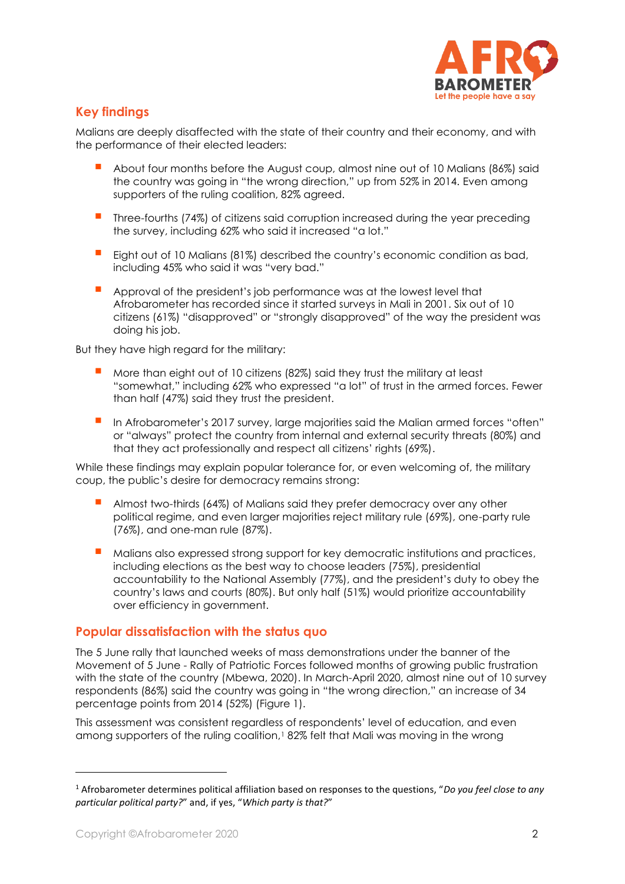

## **Key findings**

Malians are deeply disaffected with the state of their country and their economy, and with the performance of their elected leaders:

- About four months before the August coup, almost nine out of 10 Malians (86%) said the country was going in "the wrong direction," up from 52% in 2014. Even among supporters of the ruling coalition, 82% agreed.
- Three-fourths (74%) of citizens said corruption increased during the year preceding the survey, including 62% who said it increased "a lot."
- Eight out of 10 Malians (81%) described the country's economic condition as bad, including 45% who said it was "very bad."
- **E** Approval of the president's job performance was at the lowest level that Afrobarometer has recorded since it started surveys in Mali in 2001. Six out of 10 citizens (61%) "disapproved" or "strongly disapproved" of the way the president was doing his job.

But they have high regard for the military:

- More than eight out of 10 citizens (82%) said they trust the military at least "somewhat," including 62% who expressed "a lot" of trust in the armed forces. Fewer than half (47%) said they trust the president.
- In Afrobarometer's 2017 survey, large majorities said the Malian armed forces "often" or "always" protect the country from internal and external security threats (80%) and that they act professionally and respect all citizens' rights (69%).

While these findings may explain popular tolerance for, or even welcoming of, the military coup, the public's desire for democracy remains strong:

- **E** Almost two-thirds (64%) of Malians said they prefer democracy over any other political regime, and even larger majorities reject military rule (69%), one-party rule (76%), and one-man rule (87%).
- Malians also expressed strong support for key democratic institutions and practices, including elections as the best way to choose leaders (75%), presidential accountability to the National Assembly (77%), and the president's duty to obey the country's laws and courts (80%). But only half (51%) would prioritize accountability over efficiency in government.

### **Popular dissatisfaction with the status quo**

The 5 June rally that launched weeks of mass demonstrations under the banner of the Movement of 5 June - Rally of Patriotic Forces followed months of growing public frustration with the state of the country (Mbewa, 2020). In March-April 2020, almost nine out of 10 survey respondents (86%) said the country was going in "the wrong direction," an increase of 34 percentage points from 2014 (52%) (Figure 1).

This assessment was consistent regardless of respondents' level of education, and even among supporters of the ruling coalition,<sup>1</sup> 82% felt that Mali was moving in the wrong

<sup>1</sup> Afrobarometer determines political affiliation based on responses to the questions, "*Do you feel close to any particular political party?*" and, if yes, "*Which party is that?*"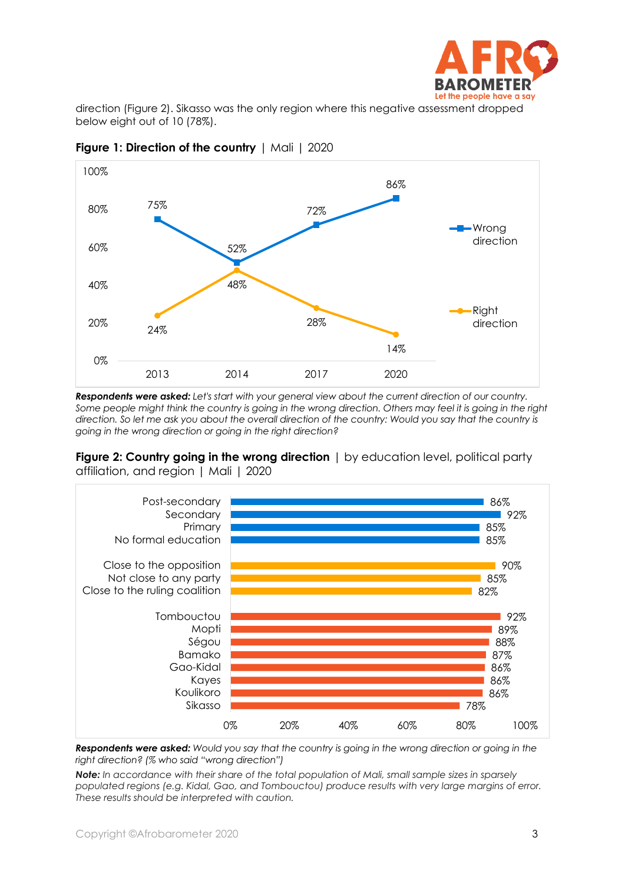

direction (Figure 2). Sikasso was the only region where this negative assessment dropped below eight out of 10 (78%).



**Figure 1: Direction of the country** | Mali | 2020

*Respondents were asked: Let's start with your general view about the current direction of our country. Some people might think the country is going in the wrong direction. Others may feel it is going in the right direction. So let me ask you about the overall direction of the country: Would you say that the country is going in the wrong direction or going in the right direction?*

**Figure 2: Country going in the wrong direction** | by education level, political party affiliation, and region | Mali | 2020



*Respondents were asked: Would you say that the country is going in the wrong direction or going in the right direction? (% who said "wrong direction")*

*Note: In accordance with their share of the total population of Mali, small sample sizes in sparsely populated regions (e.g. Kidal, Gao, and Tombouctou) produce results with very large margins of error. These results should be interpreted with caution.*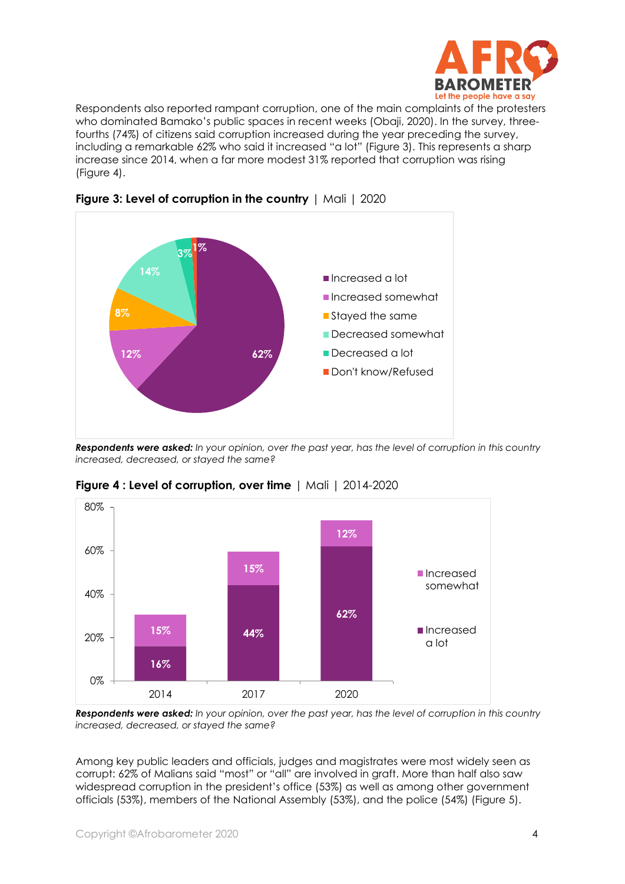

Respondents also reported rampant corruption, one of the main complaints of the protesters who dominated Bamako's public spaces in recent weeks (Obaji, 2020). In the survey, threefourths (74%) of citizens said corruption increased during the year preceding the survey, including a remarkable 62% who said it increased "a lot" (Figure 3). This represents a sharp increase since 2014, when a far more modest 31% reported that corruption was rising (Figure 4).





*Respondents were asked: In your opinion, over the past year, has the level of corruption in this country increased, decreased, or stayed the same?* 



**Figure 4 : Level of corruption, over time** | Mali | 2014-2020

*Respondents were asked: In your opinion, over the past year, has the level of corruption in this country increased, decreased, or stayed the same?* 

Among key public leaders and officials, judges and magistrates were most widely seen as corrupt: 62% of Malians said "most" or "all" are involved in graft. More than half also saw widespread corruption in the president's office (53%) as well as among other government officials (53%), members of the National Assembly (53%), and the police (54%) (Figure 5).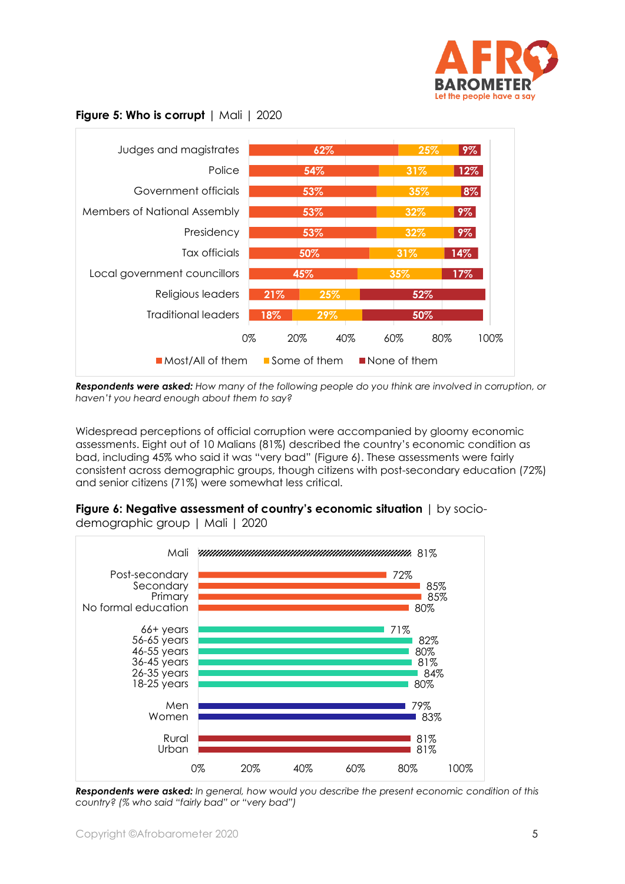

#### **Figure 5: Who is corrupt** | Mali | 2020



*Respondents were asked: How many of the following people do you think are involved in corruption, or haven't you heard enough about them to say?*

Widespread perceptions of official corruption were accompanied by gloomy economic assessments. Eight out of 10 Malians (81%) described the country's economic condition as bad, including 45% who said it was "very bad" (Figure 6). These assessments were fairly consistent across demographic groups, though citizens with post-secondary education (72%) and senior citizens (71%) were somewhat less critical.





*Respondents were asked: In general, how would you describe the present economic condition of this country? (% who said "fairly bad" or "very bad")*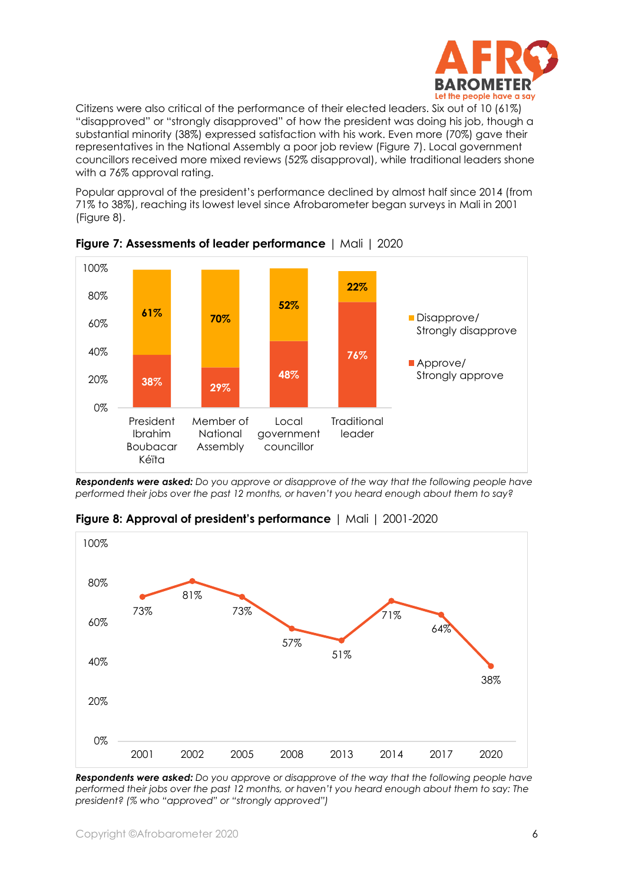

Citizens were also critical of the performance of their elected leaders. Six out of 10 (61%) "disapproved" or "strongly disapproved" of how the president was doing his job, though a substantial minority (38%) expressed satisfaction with his work. Even more (70%) gave their representatives in the National Assembly a poor job review (Figure 7). Local government councillors received more mixed reviews (52% disapproval), while traditional leaders shone with a 76% approval rating.

Popular approval of the president's performance declined by almost half since 2014 (from 71% to 38%), reaching its lowest level since Afrobarometer began surveys in Mali in 2001 (Figure 8).



**Figure 7: Assessments of leader performance** | Mali | 2020

*Respondents were asked: Do you approve or disapprove of the way that the following people have performed their jobs over the past 12 months, or haven't you heard enough about them to say?* 



**Figure 8: Approval of president's performance** | Mali | 2001-2020

*Respondents were asked: Do you approve or disapprove of the way that the following people have performed their jobs over the past 12 months, or haven't you heard enough about them to say: The president? (% who "approved" or "strongly approved")*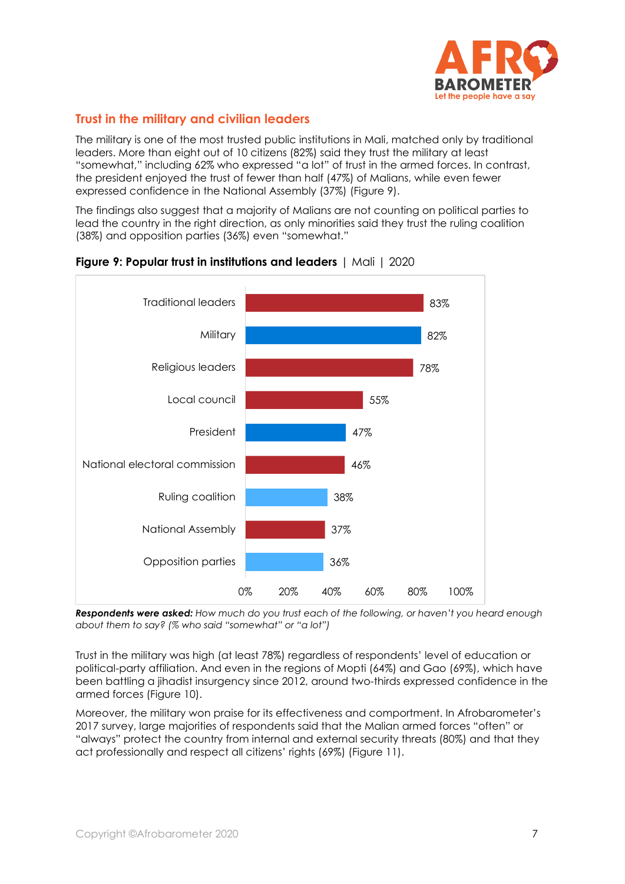

## **Trust in the military and civilian leaders**

The military is one of the most trusted public institutions in Mali, matched only by traditional leaders. More than eight out of 10 citizens (82%) said they trust the military at least "somewhat," including 62% who expressed "a lot" of trust in the armed forces. In contrast, the president enjoyed the trust of fewer than half (47%) of Malians, while even fewer expressed confidence in the National Assembly (37%) (Figure 9).

The findings also suggest that a majority of Malians are not counting on political parties to lead the country in the right direction, as only minorities said they trust the ruling coalition (38%) and opposition parties (36%) even "somewhat."



#### **Figure 9: Popular trust in institutions and leaders** | Mali | 2020

*Respondents were asked: How much do you trust each of the following, or haven't you heard enough about them to say? (% who said "somewhat" or "a lot")*

Trust in the military was high (at least 78%) regardless of respondents' level of education or political-party affiliation. And even in the regions of Mopti (64%) and Gao (69%), which have been battling a jihadist insurgency since 2012, around two-thirds expressed confidence in the armed forces (Figure 10).

Moreover, the military won praise for its effectiveness and comportment. In Afrobarometer's 2017 survey, large majorities of respondents said that the Malian armed forces "often" or "always" protect the country from internal and external security threats (80%) and that they act professionally and respect all citizens' rights (69%) (Figure 11).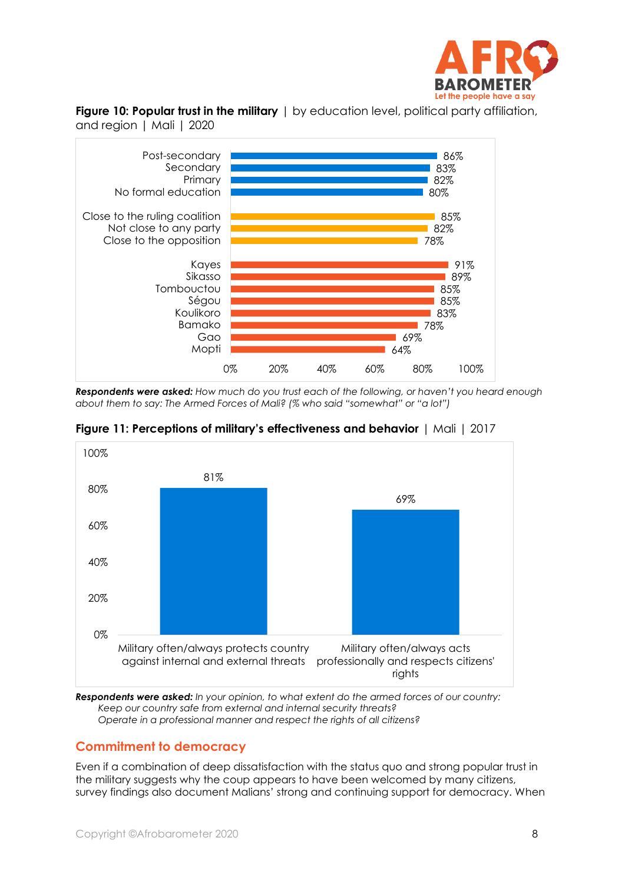

**Figure 10: Popular trust in the military** | by education level, political party affiliation, and region | Mali | 2020



*Respondents were asked: How much do you trust each of the following, or haven't you heard enough about them to say: The Armed Forces of Mali? (% who said "somewhat" or "a lot")*



**Figure 11: Perceptions of military's effectiveness and behavior** | Mali | 2017

*Respondents were asked: In your opinion, to what extent do the armed forces of our country: Keep our country safe from external and internal security threats? Operate in a professional manner and respect the rights of all citizens?*

## **Commitment to democracy**

Even if a combination of deep dissatisfaction with the status quo and strong popular trust in the military suggests why the coup appears to have been welcomed by many citizens, survey findings also document Malians' strong and continuing support for democracy. When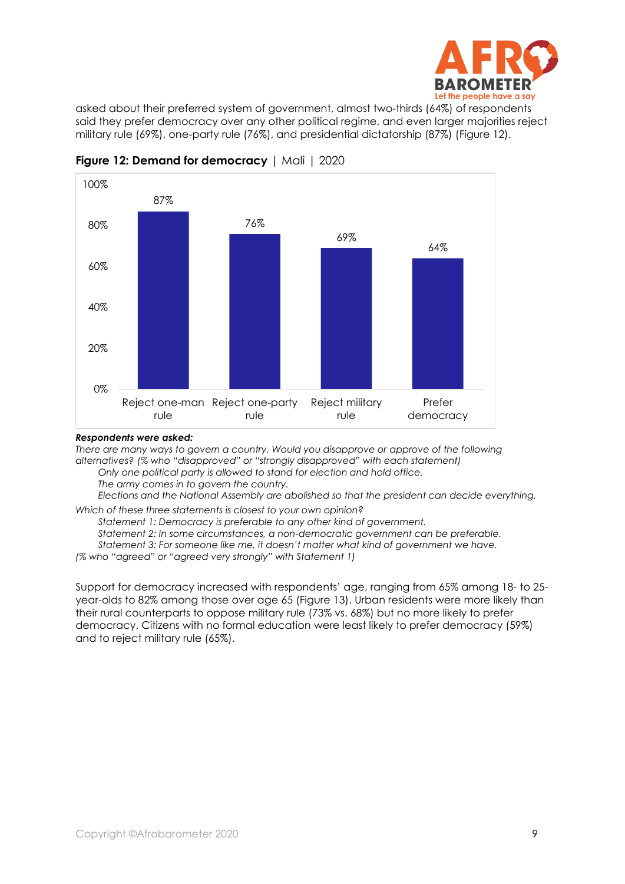

asked about their preferred system of government, almost two-thirds (64%) of respondents said they prefer democracy over any other political regime, and even larger majorities reject military rule (69%), one-party rule (76%), and presidential dictatorship (87%) (Figure 12).



**Figure 12: Demand for democracy** | Mali | 2020

#### *Respondents were asked:*

*There are many ways to govern a country. Would you disapprove or approve of the following alternatives? (% who "disapproved" or "strongly disapproved" with each statement)*

*Only one political party is allowed to stand for election and hold office.*

*The army comes in to govern the country.*

*Elections and the National Assembly are abolished so that the president can decide everything.*

*Which of these three statements is closest to your own opinion?* 

*Statement 1: Democracy is preferable to any other kind of government.*

*Statement 2: In some circumstances, a non-democratic government can be preferable.* 

*Statement 3: For someone like me, it doesn't matter what kind of government we have.*

*(% who "agreed" or "agreed very strongly" with Statement 1)*

Support for democracy increased with respondents' age, ranging from 65% among 18- to 25 year-olds to 82% among those over age 65 (Figure 13). Urban residents were more likely than their rural counterparts to oppose military rule (73% vs. 68%) but no more likely to prefer democracy. Citizens with no formal education were least likely to prefer democracy (59%) and to reject military rule (65%).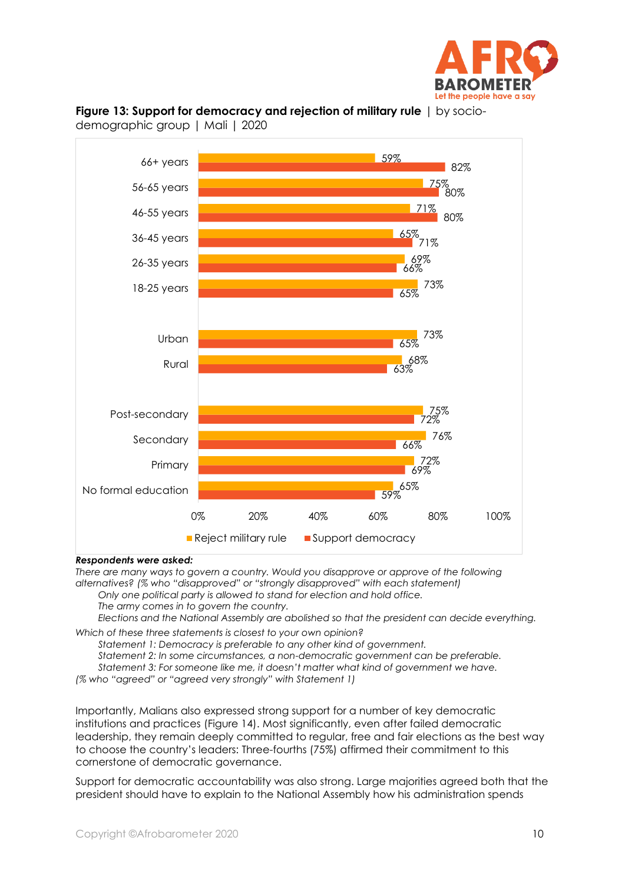





demographic group | Mali | 2020

#### *Respondents were asked:*

*There are many ways to govern a country. Would you disapprove or approve of the following alternatives? (% who "disapproved" or "strongly disapproved" with each statement) Only one political party is allowed to stand for election and hold office. The army comes in to govern the country.*

*Elections and the National Assembly are abolished so that the president can decide everything.*

*Which of these three statements is closest to your own opinion?* 

*Statement 1: Democracy is preferable to any other kind of government.*

*Statement 2: In some circumstances, a non-democratic government can be preferable.* 

*Statement 3: For someone like me, it doesn't matter what kind of government we have.*

*(% who "agreed" or "agreed very strongly" with Statement 1)*

Importantly, Malians also expressed strong support for a number of key democratic institutions and practices (Figure 14). Most significantly, even after failed democratic leadership, they remain deeply committed to regular, free and fair elections as the best way to choose the country's leaders: Three-fourths (75%) affirmed their commitment to this cornerstone of democratic governance.

Support for democratic accountability was also strong. Large majorities agreed both that the president should have to explain to the National Assembly how his administration spends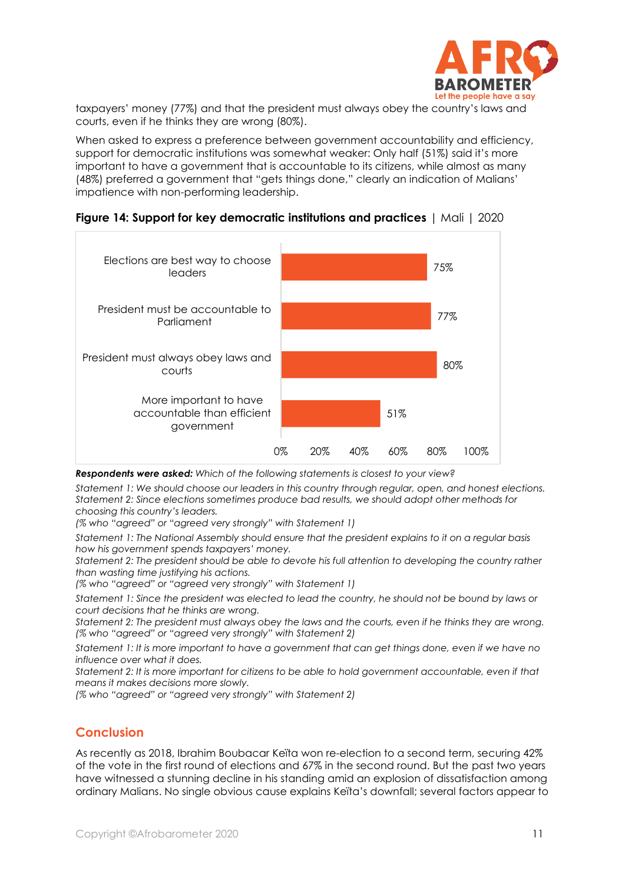

taxpayers' money (77%) and that the president must always obey the country's laws and courts, even if he thinks they are wrong (80%).

When asked to express a preference between government accountability and efficiency, support for democratic institutions was somewhat weaker: Only half (51%) said it's more important to have a government that is accountable to its citizens, while almost as many (48%) preferred a government that "gets things done," clearly an indication of Malians' impatience with non-performing leadership.



**Figure 14: Support for key democratic institutions and practices** | Mali | 2020

*Respondents were asked: Which of the following statements is closest to your view?* 

*Statement 1: We should choose our leaders in this country through regular, open, and honest elections. Statement 2: Since elections sometimes produce bad results, we should adopt other methods for choosing this country's leaders.*

*(% who "agreed" or "agreed very strongly" with Statement 1)*

*Statement 1: The National Assembly should ensure that the president explains to it on a regular basis how his government spends taxpayers' money.*

*Statement 2: The president should be able to devote his full attention to developing the country rather than wasting time justifying his actions.*

*(% who "agreed" or "agreed very strongly" with Statement 1)*

*Statement 1: Since the president was elected to lead the country, he should not be bound by laws or court decisions that he thinks are wrong.*

*Statement 2: The president must always obey the laws and the courts, even if he thinks they are wrong. (% who "agreed" or "agreed very strongly" with Statement 2)*

*Statement 1: It is more important to have a government that can get things done, even if we have no influence over what it does.*

*Statement 2: It is more important for citizens to be able to hold government accountable, even if that means it makes decisions more slowly.*

*(% who "agreed" or "agreed very strongly" with Statement 2)*

## **Conclusion**

As recently as 2018, Ibrahim Boubacar Keïta won re-election to a second term, securing 42% of the vote in the first round of elections and 67% in the second round. But the past two years have witnessed a stunning decline in his standing amid an explosion of dissatisfaction among ordinary Malians. No single obvious cause explains Keïta's downfall; several factors appear to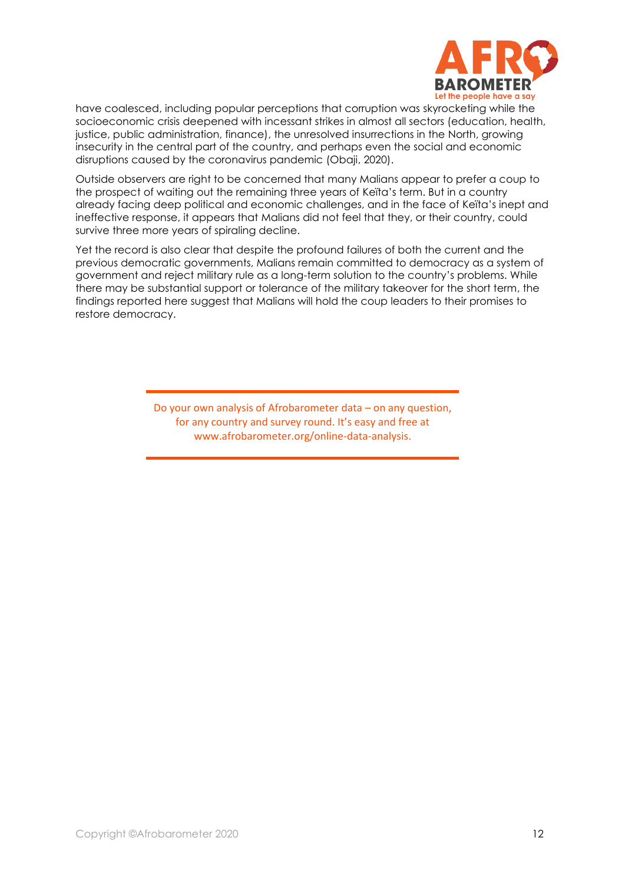

have coalesced, including popular perceptions that corruption was skyrocketing while the socioeconomic crisis deepened with incessant strikes in almost all sectors (education, health, justice, public administration, finance), the unresolved insurrections in the North, growing insecurity in the central part of the country, and perhaps even the social and economic disruptions caused by the coronavirus pandemic (Obaji, 2020).

Outside observers are right to be concerned that many Malians appear to prefer a coup to the prospect of waiting out the remaining three years of Keïta's term. But in a country already facing deep political and economic challenges, and in the face of Keïta's inept and ineffective response, it appears that Malians did not feel that they, or their country, could survive three more years of spiraling decline.

Yet the record is also clear that despite the profound failures of both the current and the previous democratic governments, Malians remain committed to democracy as a system of government and reject military rule as a long-term solution to the country's problems. While there may be substantial support or tolerance of the military takeover for the short term, the findings reported here suggest that Malians will hold the coup leaders to their promises to restore democracy.

> Do your own analysis of Afrobarometer data – on any question, for any country and survey round. It's easy and free at www.afrobarometer.org/online-data-analysis.